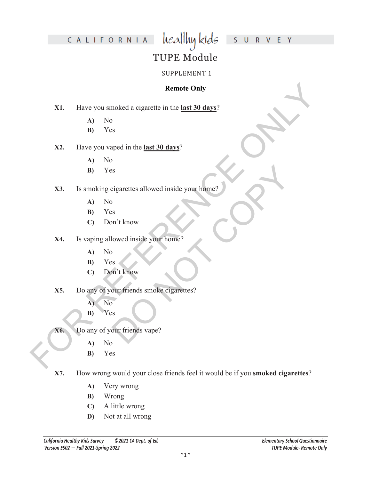#### S U R V E Y

### CALIFORNIA

#### TUPE Module

healthy kids

#### SUPPLEMENT 1

#### **Remote Only**

**X1.** Have you smoked a cigarette in the **last 30 days**?

- **A)** No
- **B)** Yes

#### **X2.** Have you vaped in the **last 30 days**?

- **A)** No
- **B)** Yes

# **Example Only<br>
X1.** Have you smoked a eigarette in the <u>last 30 days?</u><br>
A) No<br>
B) Yes<br>
X2. Have you vaped in the <u>last 30 days?</u><br>
A) No<br>
A) No<br>
B) Yes<br>
X4. Is vaping allowed inside your home?<br>
A) No<br>
C) Don't know<br>
C) Don DO NOT COPY **X3.** Is smoking cigarettes allowed inside your home?

- **A)** No
- **B)** Yes
- **C)** Don't know
- **X4.** Is vaping allowed inside your home?
	- **A)** No
	- **B)** Yes
	- **C)** Don't know
- **X5.** Do any of your friends smoke cigarettes?
	- **A)** No
	- **B)** Yes
- **X6.** Do any of your friends vape?
	- **A)** No
	- **B)** Yes
- **X7.** How wrong would your close friends feel it would be if you **smoked cigarettes**?
	- **A)** Very wrong
	- **B)** Wrong
	- **C)** A little wrong
	- **D)** Not at all wrong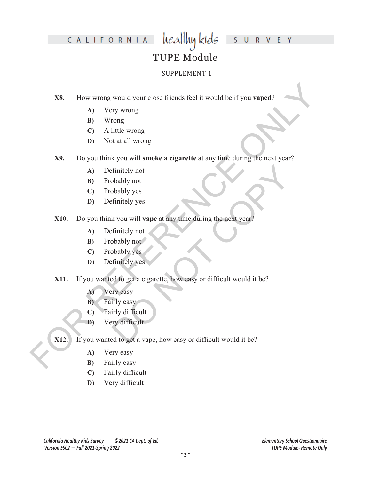# CALIFORNIA

#### S U R V E Y

#### TUPE Module

healthy kids

#### SUPPLEMENT 1

**X8.** How wrong would your close friends feel it would be if you **vaped**?

- **A)** Very wrong
- **B)** Wrong
- **C)** A little wrong
- **D)** Not at all wrong
- **EXAMPLE 18**<br>
How wrong would your close firends feel it would be if you vaped?<br>
A) Very wrong<br>
B) Wrong<br>
C) A little wrong<br>
Do you think you will smoke a cigarette at any time during the next year?<br>
A) Definitely not<br>
C) **X9.** Do you think you will **smoke a cigarette** at any time during the next year?
	- **A)** Definitely not
	- **B)** Probably not
	- **C)** Probably yes
	- **D)** Definitely yes
	- **X10.** Do you think you will **vape** at any time during the next year?
		- **A)** Definitely not
		- **B)** Probably not
		- **C)** Probably yes
		- **D)** Definitely yes
	- Finitely not<br>
	boably not<br>
	boably yes<br>
	finitely yes<br>
	finitely not<br>
	boably not<br>
	boably yes<br>
	finitely yes<br>
	ed to get a cigarette, how easy or difficult would it be?<br>
	ye easy<br>
	irly difficult<br>
	yet a vape, how easy or difficult **X11.** If you wanted to get a cigarette, how easy or difficult would it be?
		- **A)** Very easy
		- **B)** Fairly easy
		- **C)** Fairly difficult
		- **D)** Very difficult
	- **X12.** If you wanted to get a vape, how easy or difficult would it be?
		- **A)** Very easy
		- **B)** Fairly easy
		- **C)** Fairly difficult
		- **D)** Very difficult